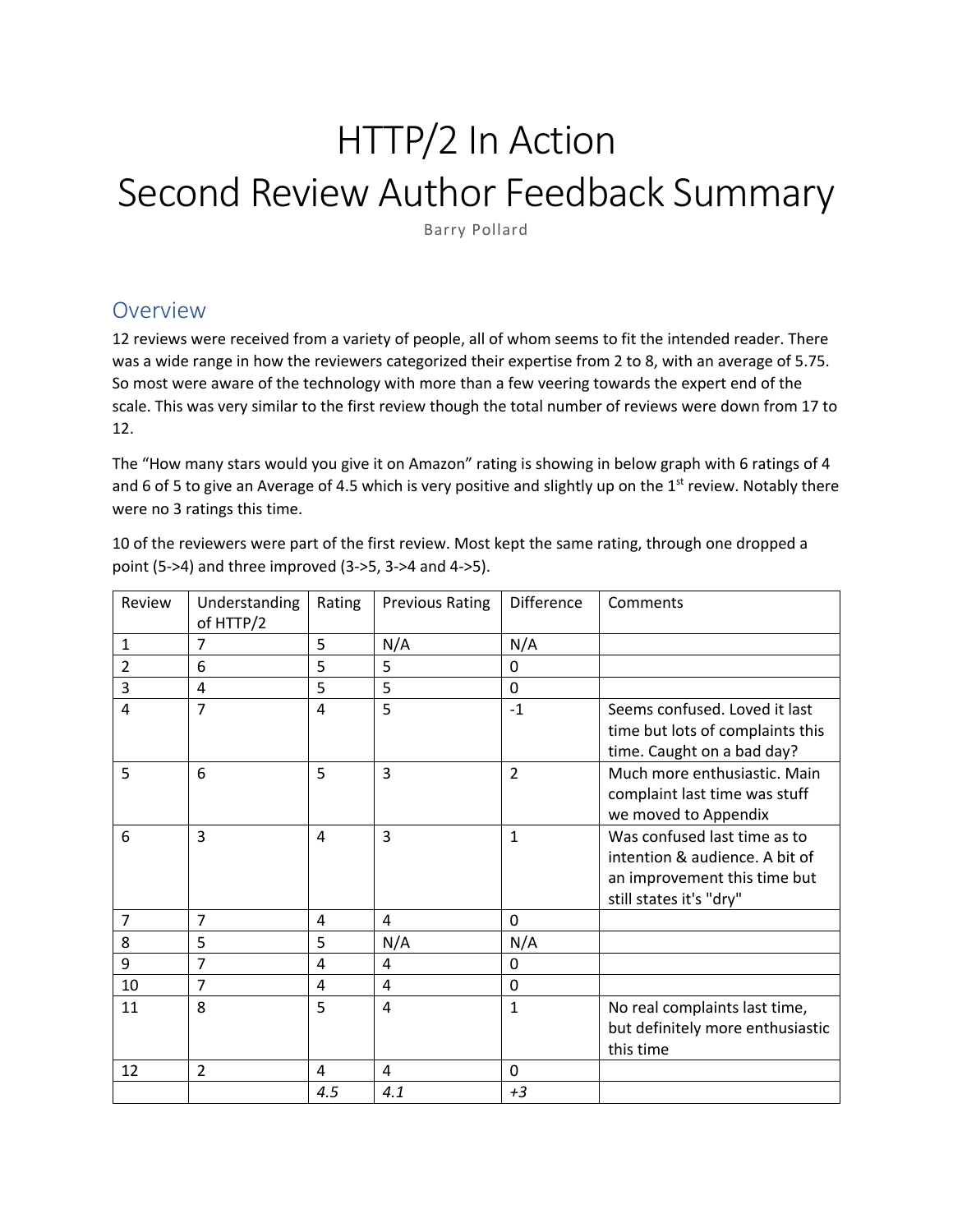# HTTP/2 In Action Second Review Author Feedback Summary

Barry Pollard

### Overview

12 reviews were received from a variety of people, all of whom seems to fit the intended reader. There was a wide range in how the reviewers categorized their expertise from 2 to 8, with an average of 5.75. So most were aware of the technology with more than a few veering towards the expert end of the scale. This was very similar to the first review though the total number of reviews were down from 17 to 12.

The "How many stars would you give it on Amazon" rating is showing in below graph with 6 ratings of 4 and 6 of 5 to give an Average of 4.5 which is very positive and slightly up on the  $1<sup>st</sup>$  review. Notably there were no 3 ratings this time.

10 of the reviewers were part of the first review. Most kept the same rating, through one dropped a point (5->4) and three improved (3->5, 3->4 and 4->5).

| Review         | Understanding<br>of HTTP/2 | Rating         | <b>Previous Rating</b> | <b>Difference</b> | Comments                                                                                                                  |
|----------------|----------------------------|----------------|------------------------|-------------------|---------------------------------------------------------------------------------------------------------------------------|
| 1              | 7                          | 5              | N/A                    | N/A               |                                                                                                                           |
| $\overline{2}$ | 6                          | 5              | 5                      | 0                 |                                                                                                                           |
| 3              | 4                          | 5              | 5                      | 0                 |                                                                                                                           |
| 4              | 7                          | $\overline{4}$ | 5                      | $-1$              | Seems confused. Loved it last<br>time but lots of complaints this<br>time. Caught on a bad day?                           |
| 5              | 6                          | 5              | 3                      | $\overline{2}$    | Much more enthusiastic. Main<br>complaint last time was stuff<br>we moved to Appendix                                     |
| 6              | 3                          | $\overline{4}$ | 3                      | $\mathbf{1}$      | Was confused last time as to<br>intention & audience. A bit of<br>an improvement this time but<br>still states it's "dry" |
| $\overline{7}$ | $\overline{7}$             | 4              | 4                      | 0                 |                                                                                                                           |
| 8              | 5                          | 5              | N/A                    | N/A               |                                                                                                                           |
| 9              | 7                          | 4              | 4                      | 0                 |                                                                                                                           |
| 10             | $\overline{7}$             | 4              | 4                      | 0                 |                                                                                                                           |
| 11             | 8                          | 5              | 4                      | $\mathbf{1}$      | No real complaints last time,<br>but definitely more enthusiastic<br>this time                                            |
| 12             | $\overline{2}$             | 4              | 4                      | 0                 |                                                                                                                           |
|                |                            | 4.5            | 4.1                    | $+3$              |                                                                                                                           |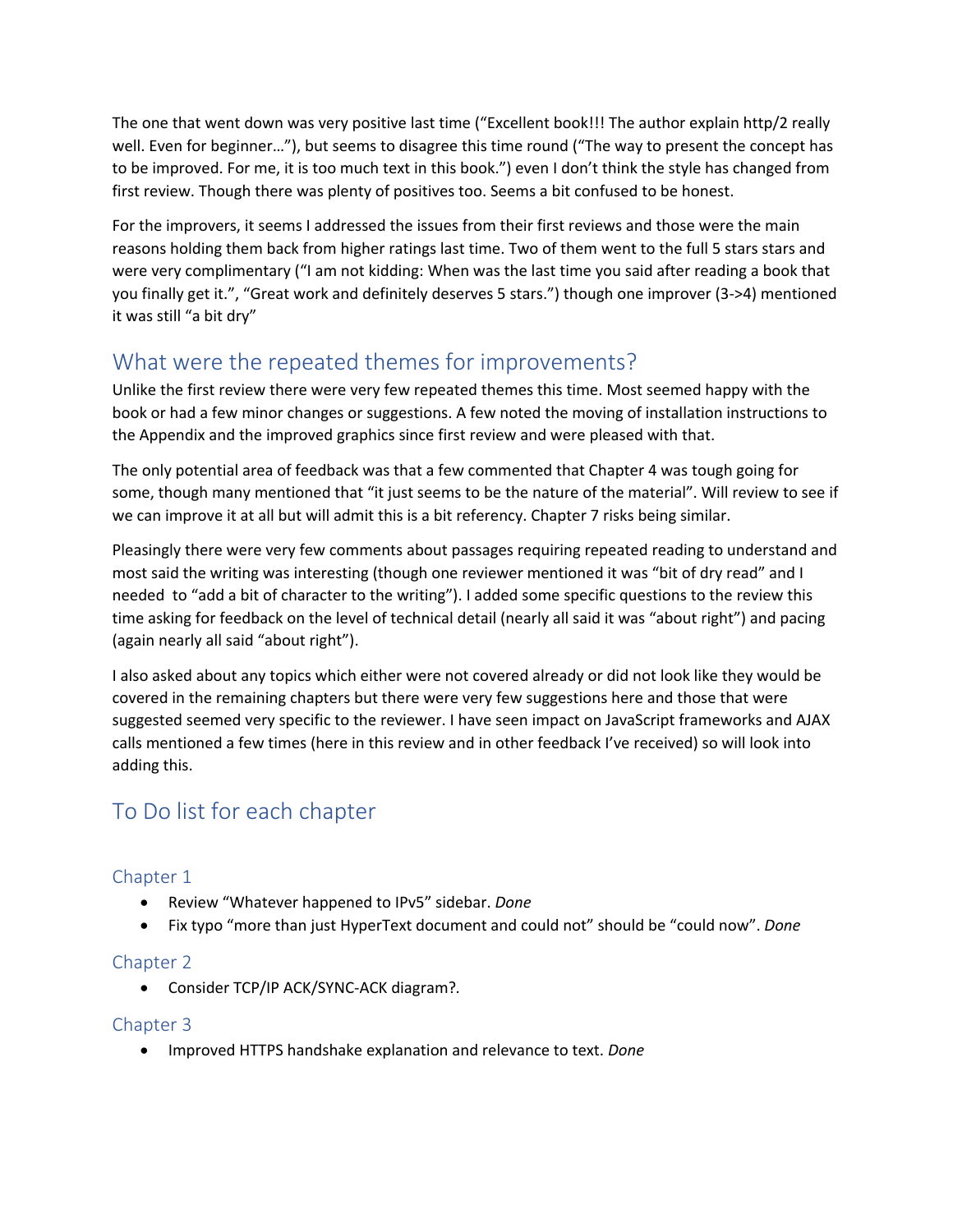The one that went down was very positive last time ("Excellent book!!! The author explain http/2 really well. Even for beginner…"), but seems to disagree this time round ("The way to present the concept has to be improved. For me, it is too much text in this book.") even I don't think the style has changed from first review. Though there was plenty of positives too. Seems a bit confused to be honest.

For the improvers, it seems I addressed the issues from their first reviews and those were the main reasons holding them back from higher ratings last time. Two of them went to the full 5 stars stars and were very complimentary ("I am not kidding: When was the last time you said after reading a book that you finally get it.", "Great work and definitely deserves 5 stars.") though one improver (3->4) mentioned it was still "a bit dry"

# What were the repeated themes for improvements?

Unlike the first review there were very few repeated themes this time. Most seemed happy with the book or had a few minor changes or suggestions. A few noted the moving of installation instructions to the Appendix and the improved graphics since first review and were pleased with that.

The only potential area of feedback was that a few commented that Chapter 4 was tough going for some, though many mentioned that "it just seems to be the nature of the material". Will review to see if we can improve it at all but will admit this is a bit referency. Chapter 7 risks being similar.

Pleasingly there were very few comments about passages requiring repeated reading to understand and most said the writing was interesting (though one reviewer mentioned it was "bit of dry read" and I needed to "add a bit of character to the writing"). I added some specific questions to the review this time asking for feedback on the level of technical detail (nearly all said it was "about right") and pacing (again nearly all said "about right").

I also asked about any topics which either were not covered already or did not look like they would be covered in the remaining chapters but there were very few suggestions here and those that were suggested seemed very specific to the reviewer. I have seen impact on JavaScript frameworks and AJAX calls mentioned a few times (here in this review and in other feedback I've received) so will look into adding this.

# To Do list for each chapter

#### Chapter 1

- Review "Whatever happened to IPv5" sidebar. *Done*
- Fix typo "more than just HyperText document and could not" should be "could now". *Done*

#### Chapter 2

• Consider TCP/IP ACK/SYNC-ACK diagram?*.*

#### Chapter 3

• Improved HTTPS handshake explanation and relevance to text. *Done*